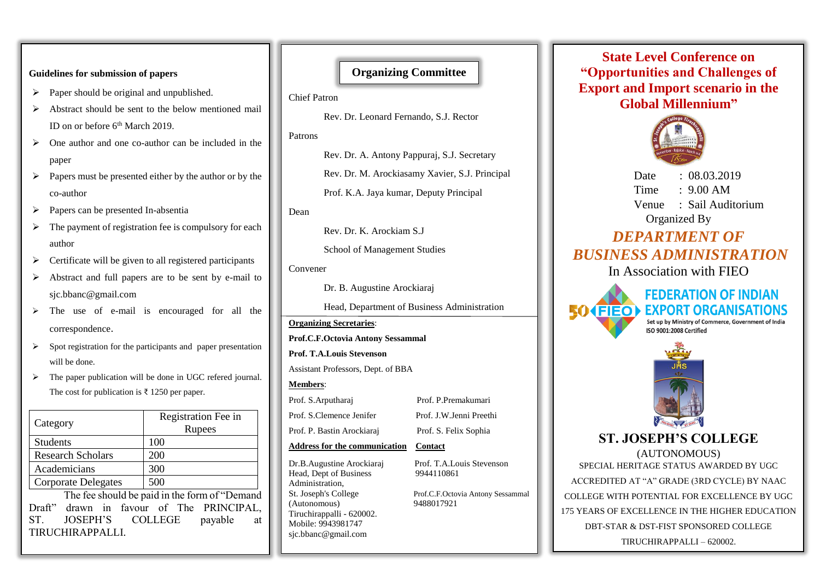### **Guidelines for submission of papers**

- $\triangleright$  Paper should be original and unpublished.
- ➢ Abstract should be sent to the below mentioned mail ID on or before 6<sup>th</sup> March 2019.
- ➢ One author and one co-author can be included in the paper
- ➢ Papers must be presented either by the author or by the co-author
- ➢ Papers can be presented In-absentia
- $\triangleright$  The payment of registration fee is compulsory for each author
- $\triangleright$  Certificate will be given to all registered participants
- ➢ Abstract and full papers are to be sent by e-mail to sjc.bbanc@gmail.com
- ➢ The use of e-mail is encouraged for all the correspondence.
- ➢ Spot registration for the participants and paper presentation will be done.
- ➢ The paper publication will be done in UGC refered journal. The cost for publication is ₹ 1250 per paper.

| Category                   | Registration Fee in<br>Rupees |
|----------------------------|-------------------------------|
| <b>Students</b>            | 100                           |
| <b>Research Scholars</b>   | 200                           |
| Academicians               | 300                           |
| <b>Corporate Delegates</b> | 500                           |

The fee should be paid in the form of "Demand Draft" drawn in favour of The PRINCIPAL, ST. JOSEPH'S COLLEGE payable at TIRUCHIRAPPALLI.

## **Organizing Committee**

Chief Patron

Rev. Dr. Leonard Fernando, S.J. Rector

Patrons

Rev. Dr. A. Antony Pappuraj, S.J. Secretary

Rev. Dr. M. Arockiasamy Xavier, S.J. Principal

Prof. K.A. Jaya kumar, Deputy Principal

Dean

Rev. Dr. K. Arockiam S.J

School of Management Studies

Convener

Dr. B. Augustine Arockiaraj

Head, Department of Business Administration

### **Organizing Secretaries**:

**Prof.C.F.Octovia Antony Sessammal** 

**Prof. T.A.Louis Stevenson**

Assistant Professors, Dept. of BBA

### **Members**:

Prof. S.Arputharaj Prof. P.Premakumari Prof. S.Clemence Jenifer Prof. J.W.Jenni Preethi Prof. P. Bastin Arockiaraj Prof. S. Felix Sophia

### **Address for the communication Contact**

Head, Dept of Business 9944110861 Administration, St. Joseph's College Prof.C.F.Octovia Antony Sessammal (Autonomous) 9488017921 Tiruchirappalli - 620002. Mobile: 9943981747 sjc.bbanc@gmail.com

Dr.B.Augustine Arockiaraj Prof. T.A.Louis Stevenson

# **State Level Conference on "Opportunities and Challenges of Export and Import scenario in the Global Millennium"**



Date : 08.03.2019  $Time \cdot 9.00 \text{ AM}$  Venue : Sail Auditorium Organized By

# *DEPARTMENT OF BUSINESS ADMINISTRATION*

In Association with FIEO



ISO 9001:2008 Certified



**ST. JOSEPH'S COLLEGE**  (AUTONOMOUS) SPECIAL HERITAGE STATUS AWARDED BY UGC ACCREDITED AT "A" GRADE (3RD CYCLE) BY NAAC COLLEGE WITH POTENTIAL FOR EXCELLENCE BY UGC 175 YEARS OF EXCELLENCE IN THE HIGHER EDUCATION DBT-STAR & DST-FIST SPONSORED COLLEGE

TIRUCHIRAPPALLI – 620002.